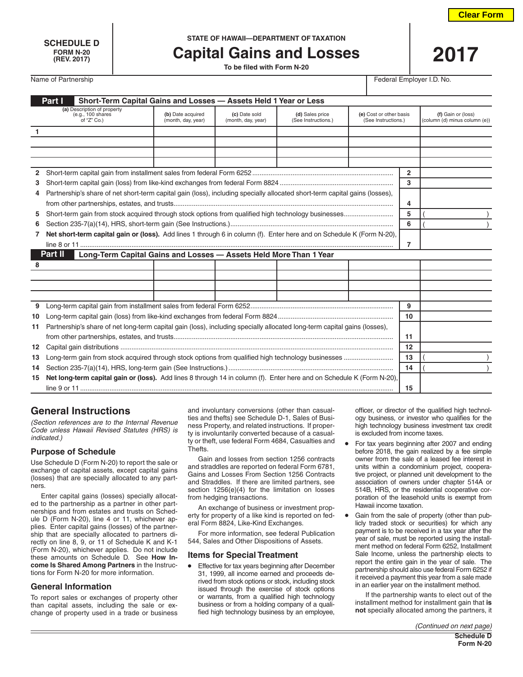**FORM N-20**

# **SCHEDULE D STATE OF HAWAII—DEPARTMENT OF TAXATION**

**Capital Gains and Losses** 

Name of Partnership Federal Employer I.D. No.

| Part I<br>Short-Term Capital Gains and Losses - Assets Held 1 Year or Less   |                                                                                                                             |                                         |                                     |                                        |                                                |                |                                                     |
|------------------------------------------------------------------------------|-----------------------------------------------------------------------------------------------------------------------------|-----------------------------------------|-------------------------------------|----------------------------------------|------------------------------------------------|----------------|-----------------------------------------------------|
|                                                                              | (a) Description of property<br>(e.g., 100 shares<br>of "Z" Co.)                                                             | (b) Date acquired<br>(month, day, year) | (c) Date sold<br>(month, day, year) | (d) Sales price<br>(See Instructions.) | (e) Cost or other basis<br>(See Instructions.) |                | (f) Gain or (loss)<br>(column (d) minus column (e)) |
| $\mathbf{1}$                                                                 |                                                                                                                             |                                         |                                     |                                        |                                                |                |                                                     |
|                                                                              |                                                                                                                             |                                         |                                     |                                        |                                                |                |                                                     |
|                                                                              |                                                                                                                             |                                         |                                     |                                        |                                                |                |                                                     |
|                                                                              |                                                                                                                             |                                         |                                     |                                        |                                                |                |                                                     |
| $\overline{2}$                                                               |                                                                                                                             |                                         |                                     |                                        |                                                | $\overline{2}$ |                                                     |
| 3                                                                            |                                                                                                                             |                                         |                                     |                                        |                                                | 3              |                                                     |
| 4                                                                            | Partnership's share of net short-term capital gain (loss), including specially allocated short-term capital gains (losses), |                                         |                                     |                                        |                                                |                |                                                     |
|                                                                              |                                                                                                                             |                                         |                                     |                                        |                                                | 4              |                                                     |
| 5.                                                                           | Short-term gain from stock acquired through stock options from qualified high technology businesses                         |                                         |                                     |                                        |                                                | 5              |                                                     |
| 6                                                                            |                                                                                                                             |                                         |                                     |                                        |                                                | 6              |                                                     |
| 7                                                                            | Net short-term capital gain or (loss). Add lines 1 through 6 in column (f). Enter here and on Schedule K (Form N-20),       |                                         |                                     |                                        |                                                |                |                                                     |
|                                                                              |                                                                                                                             |                                         |                                     |                                        |                                                | 7              |                                                     |
| Part II<br>Long-Term Capital Gains and Losses - Assets Held More Than 1 Year |                                                                                                                             |                                         |                                     |                                        |                                                |                |                                                     |
| 8                                                                            |                                                                                                                             |                                         |                                     |                                        |                                                |                |                                                     |
|                                                                              |                                                                                                                             |                                         |                                     |                                        |                                                |                |                                                     |
|                                                                              |                                                                                                                             |                                         |                                     |                                        |                                                |                |                                                     |
|                                                                              |                                                                                                                             |                                         |                                     |                                        |                                                |                |                                                     |
| 9                                                                            |                                                                                                                             |                                         |                                     |                                        |                                                | 9              |                                                     |
| 10                                                                           |                                                                                                                             |                                         |                                     |                                        |                                                | 10             |                                                     |
| 11                                                                           | Partnership's share of net long-term capital gain (loss), including specially allocated long-term capital gains (losses),   |                                         |                                     |                                        |                                                |                |                                                     |
|                                                                              |                                                                                                                             |                                         |                                     |                                        |                                                | 11             |                                                     |
| 12 <sup>12</sup>                                                             |                                                                                                                             |                                         |                                     |                                        |                                                | 12             |                                                     |
| 13                                                                           | Long-term gain from stock acquired through stock options from qualified high technology businesses                          |                                         |                                     |                                        |                                                | 13             |                                                     |
| 14                                                                           |                                                                                                                             |                                         |                                     |                                        |                                                | 14             |                                                     |
| 15                                                                           | Net long-term capital gain or (loss). Add lines 8 through 14 in column (f). Enter here and on Schedule K (Form N-20),       |                                         |                                     |                                        |                                                |                |                                                     |
|                                                                              |                                                                                                                             |                                         |                                     |                                        |                                                | 15             |                                                     |

# **General Instructions**

*(Section references are to the Internal Revenue Code unless Hawaii Revised Statutes (HRS) is indicated.)*

### **Purpose of Schedule**

Use Schedule D (Form N-20) to report the sale or exchange of capital assets, except capital gains (losses) that are specially allocated to any partners.

Enter capital gains (losses) specially allocated to the partnership as a partner in other partnerships and from estates and trusts on Schedule D (Form N-20), line 4 or 11, whichever applies. Enter capital gains (losses) of the partnership that are specially allocated to partners directly on line 8, 9, or 11 of Schedule K and K-1 (Form N-20), whichever applies. Do not include these amounts on Schedule D. See **How Income Is Shared Among Partners** in the Instructions for Form N-20 for more information.

### **General Information**

To report sales or exchanges of property other than capital assets, including the sale or exchange of property used in a trade or business

and involuntary conversions (other than casualties and thefts) see Schedule D-1, Sales of Business Property, and related instructions. If property is involuntarily converted because of a casualty or theft, use federal Form 4684, Casualties and Thefts.

Gain and losses from section 1256 contracts and straddles are reported on federal Form 6781, Gains and Losses From Section 1256 Contracts and Straddles. If there are limited partners, see section 1256(e)(4) for the limitation on losses from hedging transactions.

An exchange of business or investment property for property of a like kind is reported on federal Form 8824, Like-Kind Exchanges.

For more information, see federal Publication 544, Sales and Other Dispositions of Assets.

### **Items for Special Treatment**

• Effective for tax years beginning after December 31, 1999, all income earned and proceeds derived from stock options or stock, including stock issued through the exercise of stock options or warrants, from a qualified high technology business or from a holding company of a qualified high technology business by an employee, officer, or director of the qualified high technology business, or investor who qualifies for the high technology business investment tax credit is excluded from income taxes.

- For tax years beginning after 2007 and ending before 2018, the gain realized by a fee simple owner from the sale of a leased fee interest in units within a condominium project, cooperative project, or planned unit development to the association of owners under chapter 514A or 514B, HRS, or the residential cooperative corporation of the leasehold units is exempt from Hawaii income taxation.
- Gain from the sale of property (other than publicly traded stock or securities) for which any payment is to be received in a tax year after the year of sale, must be reported using the installment method on federal Form 6252, Installment Sale Income, unless the partnership elects to report the entire gain in the year of sale. The partnership should also use federal Form 6252 if it received a payment this year from a sale made in an earlier year on the installment method.

If the partnership wants to elect out of the installment method for installment gain that **is not** specially allocated among the partners, it

*(Continued on next page)*